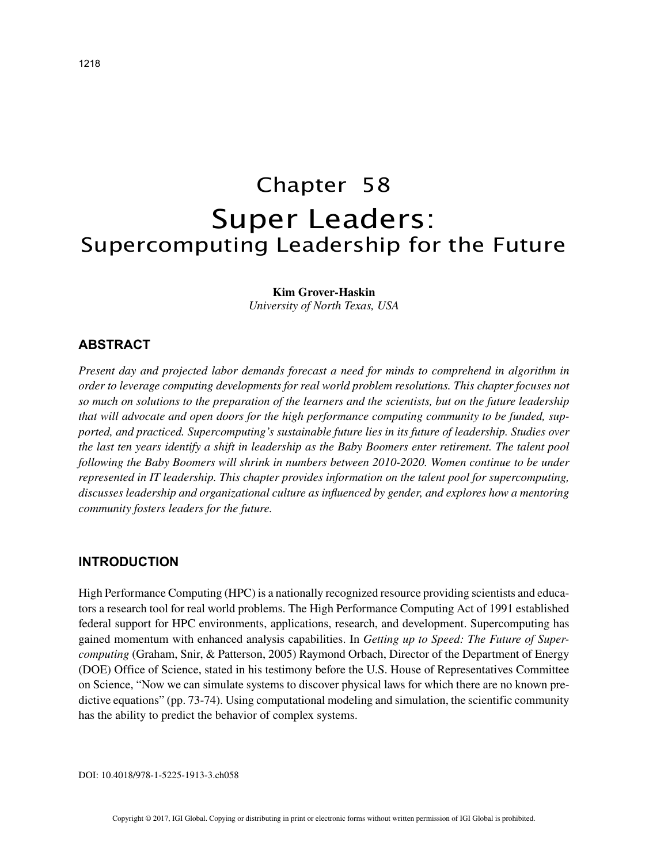# Chapter 58 Super Leaders: Supercomputing Leadership for the Future

**Kim Grover-Haskin**

*University of North Texas, USA*

# **ABSTRACT**

*Present day and projected labor demands forecast a need for minds to comprehend in algorithm in order to leverage computing developments for real world problem resolutions. This chapter focuses not so much on solutions to the preparation of the learners and the scientists, but on the future leadership that will advocate and open doors for the high performance computing community to be funded, supported, and practiced. Supercomputing's sustainable future lies in its future of leadership. Studies over the last ten years identify a shift in leadership as the Baby Boomers enter retirement. The talent pool following the Baby Boomers will shrink in numbers between 2010-2020. Women continue to be under represented in IT leadership. This chapter provides information on the talent pool for supercomputing, discusses leadership and organizational culture as influenced by gender, and explores how a mentoring community fosters leaders for the future.*

#### **INTRODUCTION**

High Performance Computing (HPC) is a nationally recognized resource providing scientists and educators a research tool for real world problems. The High Performance Computing Act of 1991 established federal support for HPC environments, applications, research, and development. Supercomputing has gained momentum with enhanced analysis capabilities. In *Getting up to Speed: The Future of Supercomputing* (Graham, Snir, & Patterson, 2005) Raymond Orbach, Director of the Department of Energy (DOE) Office of Science, stated in his testimony before the U.S. House of Representatives Committee on Science, "Now we can simulate systems to discover physical laws for which there are no known predictive equations" (pp. 73-74). Using computational modeling and simulation, the scientific community has the ability to predict the behavior of complex systems.

DOI: 10.4018/978-1-5225-1913-3.ch058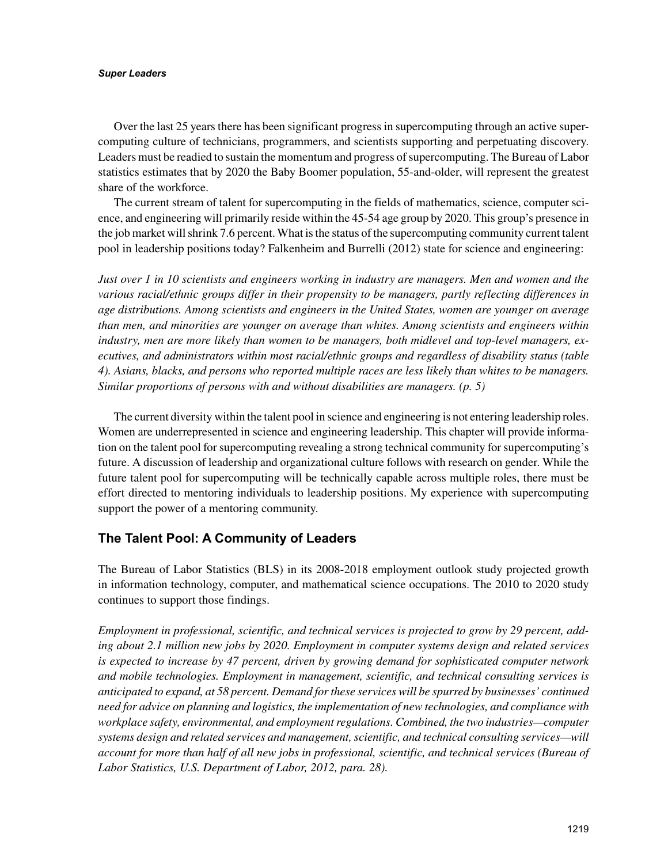#### *Super Leaders*

Over the last 25 years there has been significant progress in supercomputing through an active supercomputing culture of technicians, programmers, and scientists supporting and perpetuating discovery. Leaders must be readied to sustain the momentum and progress of supercomputing. The Bureau of Labor statistics estimates that by 2020 the Baby Boomer population, 55-and-older, will represent the greatest share of the workforce.

The current stream of talent for supercomputing in the fields of mathematics, science, computer science, and engineering will primarily reside within the 45-54 age group by 2020. This group's presence in the job market will shrink 7.6 percent. What is the status of the supercomputing community current talent pool in leadership positions today? Falkenheim and Burrelli (2012) state for science and engineering:

*Just over 1 in 10 scientists and engineers working in industry are managers. Men and women and the various racial/ethnic groups differ in their propensity to be managers, partly reflecting differences in age distributions. Among scientists and engineers in the United States, women are younger on average than men, and minorities are younger on average than whites. Among scientists and engineers within industry, men are more likely than women to be managers, both midlevel and top-level managers, executives, and administrators within most racial/ethnic groups and regardless of disability status (table 4). Asians, blacks, and persons who reported multiple races are less likely than whites to be managers. Similar proportions of persons with and without disabilities are managers. (p. 5)*

The current diversity within the talent pool in science and engineering is not entering leadership roles. Women are underrepresented in science and engineering leadership. This chapter will provide information on the talent pool for supercomputing revealing a strong technical community for supercomputing's future. A discussion of leadership and organizational culture follows with research on gender. While the future talent pool for supercomputing will be technically capable across multiple roles, there must be effort directed to mentoring individuals to leadership positions. My experience with supercomputing support the power of a mentoring community.

# **The Talent Pool: A Community of Leaders**

The Bureau of Labor Statistics (BLS) in its 2008-2018 employment outlook study projected growth in information technology, computer, and mathematical science occupations. The 2010 to 2020 study continues to support those findings.

*Employment in professional, scientific, and technical services is projected to grow by 29 percent, adding about 2.1 million new jobs by 2020. Employment in computer systems design and related services is expected to increase by 47 percent, driven by growing demand for sophisticated computer network and mobile technologies. Employment in management, scientific, and technical consulting services is anticipated to expand, at 58 percent. Demand for these services will be spurred by businesses' continued need for advice on planning and logistics, the implementation of new technologies, and compliance with workplace safety, environmental, and employment regulations. Combined, the two industries—computer systems design and related services and management, scientific, and technical consulting services—will account for more than half of all new jobs in professional, scientific, and technical services (Bureau of Labor Statistics, U.S. Department of Labor, 2012, para. 28).*